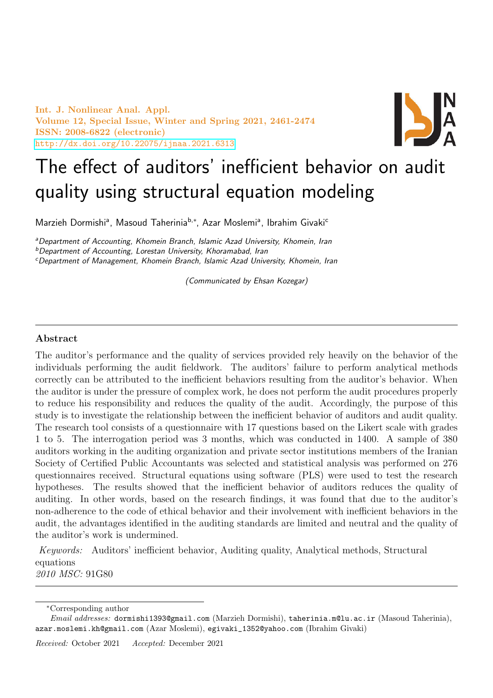Int. J. Nonlinear Anal. Appl. Volume 12, Special Issue, Winter and Spring 2021, 2461-2474 ISSN: 2008-6822 (electronic) <http://dx.doi.org/10.22075/ijnaa.2021.6313>



# The effect of auditors' inefficient behavior on audit quality using structural equation modeling

Marzieh Dormishi<sup>a</sup>, Masoud Taherinia<sup>b,</sup>\*, Azar Moslemi<sup>a</sup>, Ibrahim Givaki<sup>c</sup>

aDepartment of Accounting, Khomein Branch, Islamic Azad University, Khomein, Iran

<sup>b</sup>Department of Accounting, Lorestan University, Khoramabad, Iran

<sup>c</sup>Department of Management, Khomein Branch, Islamic Azad University, Khomein, Iran

(Communicated by Ehsan Kozegar)

# Abstract

The auditor's performance and the quality of services provided rely heavily on the behavior of the individuals performing the audit fieldwork. The auditors' failure to perform analytical methods correctly can be attributed to the inefficient behaviors resulting from the auditor's behavior. When the auditor is under the pressure of complex work, he does not perform the audit procedures properly to reduce his responsibility and reduces the quality of the audit. Accordingly, the purpose of this study is to investigate the relationship between the inefficient behavior of auditors and audit quality. The research tool consists of a questionnaire with 17 questions based on the Likert scale with grades 1 to 5. The interrogation period was 3 months, which was conducted in 1400. A sample of 380 auditors working in the auditing organization and private sector institutions members of the Iranian Society of Certified Public Accountants was selected and statistical analysis was performed on 276 questionnaires received. Structural equations using software (PLS) were used to test the research hypotheses. The results showed that the inefficient behavior of auditors reduces the quality of auditing. In other words, based on the research findings, it was found that due to the auditor's non-adherence to the code of ethical behavior and their involvement with inefficient behaviors in the audit, the advantages identified in the auditing standards are limited and neutral and the quality of the auditor's work is undermined.

Keywords: Auditors' inefficient behavior, Auditing quality, Analytical methods, Structural equations 2010 MSC: 91G80

<sup>∗</sup>Corresponding author

Email addresses: dormishi1393@gmail.com (Marzieh Dormishi), taherinia.m@lu.ac.ir (Masoud Taherinia), azar.moslemi.kh@gmail.com (Azar Moslemi), egivaki\_1352@yahoo.com (Ibrahim Givaki)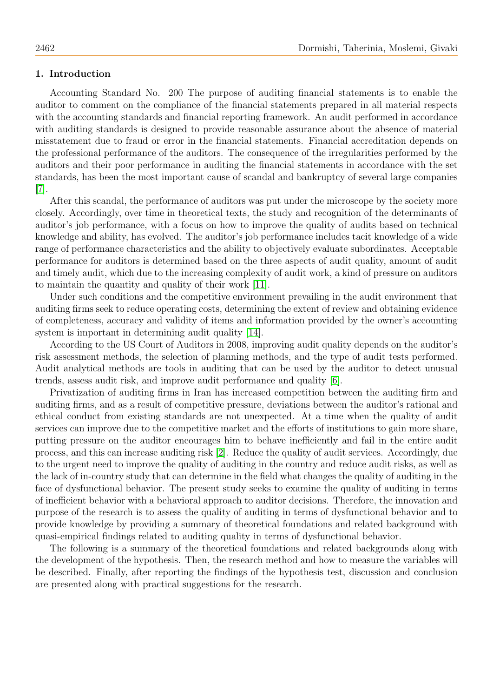## 1. Introduction

Accounting Standard No. 200 The purpose of auditing financial statements is to enable the auditor to comment on the compliance of the financial statements prepared in all material respects with the accounting standards and financial reporting framework. An audit performed in accordance with auditing standards is designed to provide reasonable assurance about the absence of material misstatement due to fraud or error in the financial statements. Financial accreditation depends on the professional performance of the auditors. The consequence of the irregularities performed by the auditors and their poor performance in auditing the financial statements in accordance with the set standards, has been the most important cause of scandal and bankruptcy of several large companies [\[7\]](#page-12-0).

After this scandal, the performance of auditors was put under the microscope by the society more closely. Accordingly, over time in theoretical texts, the study and recognition of the determinants of auditor's job performance, with a focus on how to improve the quality of audits based on technical knowledge and ability, has evolved. The auditor's job performance includes tacit knowledge of a wide range of performance characteristics and the ability to objectively evaluate subordinates. Acceptable performance for auditors is determined based on the three aspects of audit quality, amount of audit and timely audit, which due to the increasing complexity of audit work, a kind of pressure on auditors to maintain the quantity and quality of their work [\[11\]](#page-12-1).

Under such conditions and the competitive environment prevailing in the audit environment that auditing firms seek to reduce operating costs, determining the extent of review and obtaining evidence of completeness, accuracy and validity of items and information provided by the owner's accounting system is important in determining audit quality [\[14\]](#page-13-0).

According to the US Court of Auditors in 2008, improving audit quality depends on the auditor's risk assessment methods, the selection of planning methods, and the type of audit tests performed. Audit analytical methods are tools in auditing that can be used by the auditor to detect unusual trends, assess audit risk, and improve audit performance and quality [\[6\]](#page-12-2).

Privatization of auditing firms in Iran has increased competition between the auditing firm and auditing firms, and as a result of competitive pressure, deviations between the auditor's rational and ethical conduct from existing standards are not unexpected. At a time when the quality of audit services can improve due to the competitive market and the efforts of institutions to gain more share, putting pressure on the auditor encourages him to behave inefficiently and fail in the entire audit process, and this can increase auditing risk [\[2\]](#page-12-3). Reduce the quality of audit services. Accordingly, due to the urgent need to improve the quality of auditing in the country and reduce audit risks, as well as the lack of in-country study that can determine in the field what changes the quality of auditing in the face of dysfunctional behavior. The present study seeks to examine the quality of auditing in terms of inefficient behavior with a behavioral approach to auditor decisions. Therefore, the innovation and purpose of the research is to assess the quality of auditing in terms of dysfunctional behavior and to provide knowledge by providing a summary of theoretical foundations and related background with quasi-empirical findings related to auditing quality in terms of dysfunctional behavior.

The following is a summary of the theoretical foundations and related backgrounds along with the development of the hypothesis. Then, the research method and how to measure the variables will be described. Finally, after reporting the findings of the hypothesis test, discussion and conclusion are presented along with practical suggestions for the research.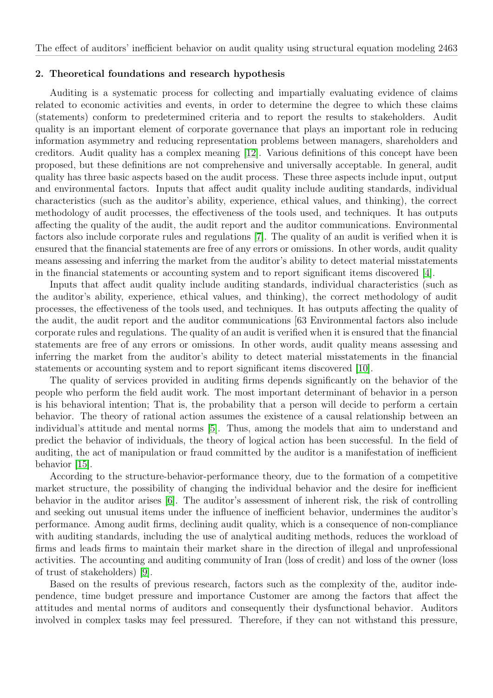#### 2. Theoretical foundations and research hypothesis

Auditing is a systematic process for collecting and impartially evaluating evidence of claims related to economic activities and events, in order to determine the degree to which these claims (statements) conform to predetermined criteria and to report the results to stakeholders. Audit quality is an important element of corporate governance that plays an important role in reducing information asymmetry and reducing representation problems between managers, shareholders and creditors. Audit quality has a complex meaning [\[12\]](#page-13-1). Various definitions of this concept have been proposed, but these definitions are not comprehensive and universally acceptable. In general, audit quality has three basic aspects based on the audit process. These three aspects include input, output and environmental factors. Inputs that affect audit quality include auditing standards, individual characteristics (such as the auditor's ability, experience, ethical values, and thinking), the correct methodology of audit processes, the effectiveness of the tools used, and techniques. It has outputs affecting the quality of the audit, the audit report and the auditor communications. Environmental factors also include corporate rules and regulations [\[7\]](#page-12-0). The quality of an audit is verified when it is ensured that the financial statements are free of any errors or omissions. In other words, audit quality means assessing and inferring the market from the auditor's ability to detect material misstatements in the financial statements or accounting system and to report significant items discovered [\[4\]](#page-12-4).

Inputs that affect audit quality include auditing standards, individual characteristics (such as the auditor's ability, experience, ethical values, and thinking), the correct methodology of audit processes, the effectiveness of the tools used, and techniques. It has outputs affecting the quality of the audit, the audit report and the auditor communications [63 Environmental factors also include corporate rules and regulations. The quality of an audit is verified when it is ensured that the financial statements are free of any errors or omissions. In other words, audit quality means assessing and inferring the market from the auditor's ability to detect material misstatements in the financial statements or accounting system and to report significant items discovered [\[10\]](#page-12-5).

The quality of services provided in auditing firms depends significantly on the behavior of the people who perform the field audit work. The most important determinant of behavior in a person is his behavioral intention; That is, the probability that a person will decide to perform a certain behavior. The theory of rational action assumes the existence of a causal relationship between an individual's attitude and mental norms [\[5\]](#page-12-6). Thus, among the models that aim to understand and predict the behavior of individuals, the theory of logical action has been successful. In the field of auditing, the act of manipulation or fraud committed by the auditor is a manifestation of inefficient behavior [\[15\]](#page-13-2).

According to the structure-behavior-performance theory, due to the formation of a competitive market structure, the possibility of changing the individual behavior and the desire for inefficient behavior in the auditor arises [\[6\]](#page-12-2). The auditor's assessment of inherent risk, the risk of controlling and seeking out unusual items under the influence of inefficient behavior, undermines the auditor's performance. Among audit firms, declining audit quality, which is a consequence of non-compliance with auditing standards, including the use of analytical auditing methods, reduces the workload of firms and leads firms to maintain their market share in the direction of illegal and unprofessional activities. The accounting and auditing community of Iran (loss of credit) and loss of the owner (loss of trust of stakeholders) [\[9\]](#page-12-7).

Based on the results of previous research, factors such as the complexity of the, auditor independence, time budget pressure and importance Customer are among the factors that affect the attitudes and mental norms of auditors and consequently their dysfunctional behavior. Auditors involved in complex tasks may feel pressured. Therefore, if they can not withstand this pressure,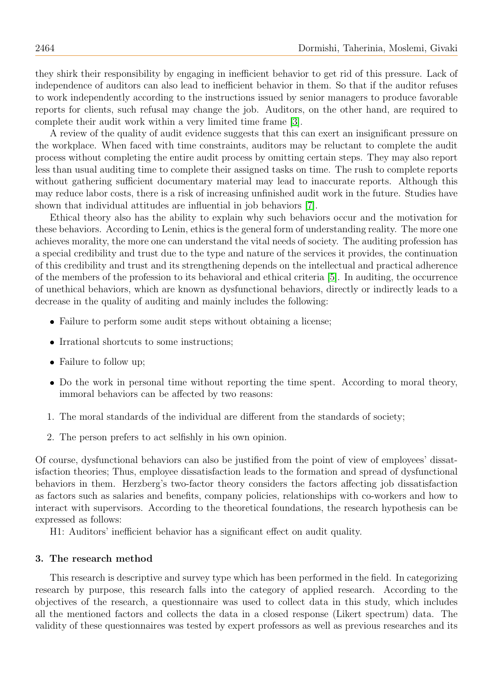they shirk their responsibility by engaging in inefficient behavior to get rid of this pressure. Lack of independence of auditors can also lead to inefficient behavior in them. So that if the auditor refuses to work independently according to the instructions issued by senior managers to produce favorable reports for clients, such refusal may change the job. Auditors, on the other hand, are required to complete their audit work within a very limited time frame [\[3\]](#page-12-8).

A review of the quality of audit evidence suggests that this can exert an insignificant pressure on the workplace. When faced with time constraints, auditors may be reluctant to complete the audit process without completing the entire audit process by omitting certain steps. They may also report less than usual auditing time to complete their assigned tasks on time. The rush to complete reports without gathering sufficient documentary material may lead to inaccurate reports. Although this may reduce labor costs, there is a risk of increasing unfinished audit work in the future. Studies have shown that individual attitudes are influential in job behaviors [\[7\]](#page-12-0).

Ethical theory also has the ability to explain why such behaviors occur and the motivation for these behaviors. According to Lenin, ethics is the general form of understanding reality. The more one achieves morality, the more one can understand the vital needs of society. The auditing profession has a special credibility and trust due to the type and nature of the services it provides, the continuation of this credibility and trust and its strengthening depends on the intellectual and practical adherence of the members of the profession to its behavioral and ethical criteria [\[5\]](#page-12-6). In auditing, the occurrence of unethical behaviors, which are known as dysfunctional behaviors, directly or indirectly leads to a decrease in the quality of auditing and mainly includes the following:

- Failure to perform some audit steps without obtaining a license;
- Irrational shortcuts to some instructions;
- Failure to follow up;
- Do the work in personal time without reporting the time spent. According to moral theory, immoral behaviors can be affected by two reasons:
- 1. The moral standards of the individual are different from the standards of society;
- 2. The person prefers to act selfishly in his own opinion.

Of course, dysfunctional behaviors can also be justified from the point of view of employees' dissatisfaction theories; Thus, employee dissatisfaction leads to the formation and spread of dysfunctional behaviors in them. Herzberg's two-factor theory considers the factors affecting job dissatisfaction as factors such as salaries and benefits, company policies, relationships with co-workers and how to interact with supervisors. According to the theoretical foundations, the research hypothesis can be expressed as follows:

H1: Auditors' inefficient behavior has a significant effect on audit quality.

### 3. The research method

This research is descriptive and survey type which has been performed in the field. In categorizing research by purpose, this research falls into the category of applied research. According to the objectives of the research, a questionnaire was used to collect data in this study, which includes all the mentioned factors and collects the data in a closed response (Likert spectrum) data. The validity of these questionnaires was tested by expert professors as well as previous researches and its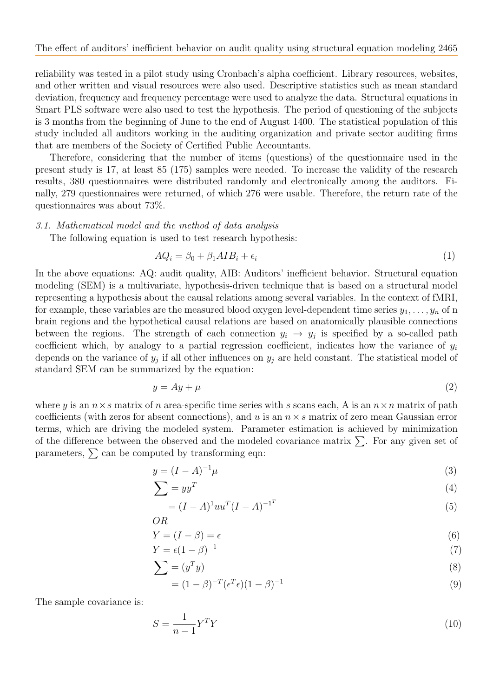reliability was tested in a pilot study using Cronbach's alpha coefficient. Library resources, websites, and other written and visual resources were also used. Descriptive statistics such as mean standard deviation, frequency and frequency percentage were used to analyze the data. Structural equations in Smart PLS software were also used to test the hypothesis. The period of questioning of the subjects is 3 months from the beginning of June to the end of August 1400. The statistical population of this study included all auditors working in the auditing organization and private sector auditing firms that are members of the Society of Certified Public Accountants.

Therefore, considering that the number of items (questions) of the questionnaire used in the present study is 17, at least 85 (175) samples were needed. To increase the validity of the research results, 380 questionnaires were distributed randomly and electronically among the auditors. Finally, 279 questionnaires were returned, of which 276 were usable. Therefore, the return rate of the questionnaires was about 73%.

#### 3.1. Mathematical model and the method of data analysis

The following equation is used to test research hypothesis:

$$
AQ_i = \beta_0 + \beta_1 AIB_i + \epsilon_i \tag{1}
$$

In the above equations: AQ: audit quality, AIB: Auditors' inefficient behavior. Structural equation modeling (SEM) is a multivariate, hypothesis-driven technique that is based on a structural model representing a hypothesis about the causal relations among several variables. In the context of fMRI, for example, these variables are the measured blood oxygen level-dependent time series  $y_1, \ldots, y_n$  of n brain regions and the hypothetical causal relations are based on anatomically plausible connections between the regions. The strength of each connection  $y_i \to y_j$  is specified by a so-called path coefficient which, by analogy to a partial regression coefficient, indicates how the variance of  $y_i$ depends on the variance of  $y_j$  if all other influences on  $y_j$  are held constant. The statistical model of standard SEM can be summarized by the equation:

$$
y = Ay + \mu \tag{2}
$$

where y is an  $n \times s$  matrix of n area-specific time series with s scans each, A is an  $n \times n$  matrix of path coefficients (with zeros for absent connections), and u is an  $n \times s$  matrix of zero mean Gaussian error terms, which are driving the modeled system. Parameter estimation is achieved by minimization of the difference between the observed and the modeled covariance matrix  $\Sigma$ . For any given set of parameters,  $\sum$  can be computed by transforming eqn:

$$
y = (I - A)^{-1} \mu \tag{3}
$$

$$
\sum = yy^T \tag{4}
$$

$$
= (I - A)^{1} u u^{T} (I - A)^{-1^{T}}
$$
\n(5)

$$
OR
$$
  
 
$$
Y = (I - \beta) = \epsilon
$$
 (6)

$$
Y = \epsilon (1 - \beta)^{-1}
$$
 (7)

$$
\sum = (y^T y) \tag{8}
$$

$$
\sum = (y^T y) \tag{8}
$$
  
=  $(1 - \beta)^{-T} (c^T c) (1 - \beta)^{-1}$  (9)

$$
= (1 - \beta)^{-T} (\epsilon^T \epsilon)(1 - \beta)^{-1}
$$
\n
$$
\tag{9}
$$

The sample covariance is:

$$
S = \frac{1}{n-1} Y^T Y \tag{10}
$$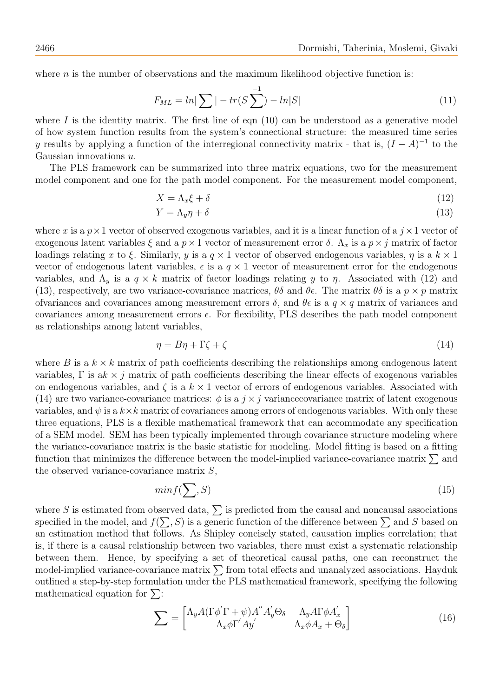where  $n$  is the number of observations and the maximum likelihood objective function is:

$$
F_{ML} = \ln|\sum| - tr(S\sum^{1}) - \ln|S|
$$
\n(11)

where I is the identity matrix. The first line of eqn  $(10)$  can be understood as a generative model of how system function results from the system's connectional structure: the measured time series y results by applying a function of the interregional connectivity matrix - that is,  $(I - A)^{-1}$  to the Gaussian innovations u.

The PLS framework can be summarized into three matrix equations, two for the measurement model component and one for the path model component. For the measurement model component,

$$
X = \Lambda_x \xi + \delta \tag{12}
$$

$$
Y = \Lambda_y \eta + \delta \tag{13}
$$

where x is a  $p \times 1$  vector of observed exogenous variables, and it is a linear function of a  $j \times 1$  vector of exogenous latent variables  $\xi$  and a  $p \times 1$  vector of measurement error  $\delta$ .  $\Lambda_x$  is a  $p \times j$  matrix of factor loadings relating x to ξ. Similarly, y is a  $q \times 1$  vector of observed endogenous variables,  $\eta$  is a  $k \times 1$ vector of endogenous latent variables,  $\epsilon$  is a  $q \times 1$  vector of measurement error for the endogenous variables, and  $\Lambda_y$  is a  $q \times k$  matrix of factor loadings relating y to  $\eta$ . Associated with (12) and (13), respectively, are two variance-covariance matrices,  $\theta\delta$  and  $\theta\epsilon$ . The matrix  $\theta\delta$  is a  $p \times p$  matrix ofvariances and covariances among measurement errors  $\delta$ , and  $\theta \epsilon$  is a  $q \times q$  matrix of variances and covariances among measurement errors ϵ. For flexibility, PLS describes the path model component as relationships among latent variables,

$$
\eta = B\eta + \Gamma \zeta + \zeta \tag{14}
$$

where B is a  $k \times k$  matrix of path coefficients describing the relationships among endogenous latent variables,  $\Gamma$  is ak  $\times$  j matrix of path coefficients describing the linear effects of exogenous variables on endogenous variables, and  $\zeta$  is a  $k \times 1$  vector of errors of endogenous variables. Associated with (14) are two variance-covariance matrices:  $\phi$  is a  $j \times j$  variance covariance matrix of latent exogenous variables, and  $\psi$  is a  $k \times k$  matrix of covariances among errors of endogenous variables. With only these three equations, PLS is a flexible mathematical framework that can accommodate any specification of a SEM model. SEM has been typically implemented through covariance structure modeling where the variance-covariance matrix is the basic statistic for modeling. Model fitting is based on a fitting function that minimizes the difference between the model-implied variance-covariance matrix  $\Sigma$  and the observed variance-covariance matrix S,

$$
min f(\sum, S) \tag{15}
$$

where S is estimated from observed data,  $\sum$  is predicted from the causal and noncausal associations specified in the model, and  $f(\sum, S)$  is a generic function of the difference between  $\sum$  and S based on an estimation method that follows. As Shipley concisely stated, causation implies correlation; that is, if there is a causal relationship between two variables, there must exist a systematic relationship between them. Hence, by specifying a set of theoretical causal paths, one can reconstruct the model-implied variance-covariance matrix  $\sum$  from total effects and unanalyzed associations. Hayduk outlined a step-by-step formulation under the PLS mathematical framework, specifying the following mathematical equation for  $\Sigma$ :

$$
\sum = \begin{bmatrix} \Lambda_y A (\Gamma \phi' \Gamma + \psi) A'' A'_y \Theta_\delta & \Lambda_y A \Gamma \phi A'_x \\ \Lambda_x \phi \Gamma' A y' & \Lambda_x \phi A_x + \Theta_\delta \end{bmatrix}
$$
(16)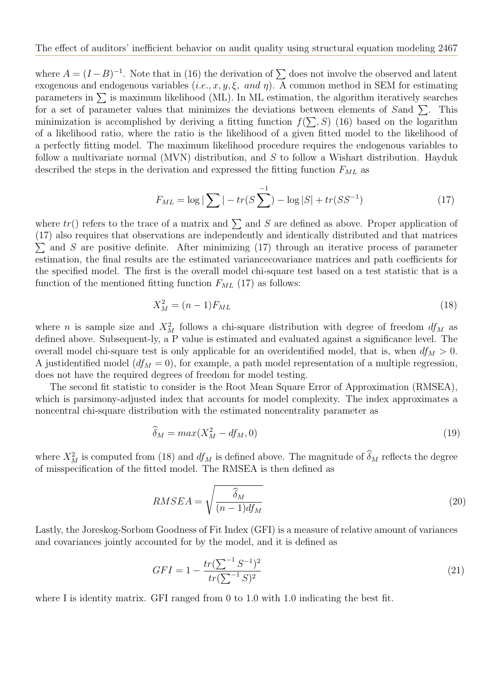where  $A = (I - B)^{-1}$ . Note that in (16) the derivation of  $\sum$  does not involve the observed and latent exogenous and endogenous variables  $(i.e., x, y, \xi, and \eta)$ . A common method in SEM for estimating parameters in  $\Sigma$  is maximum likelihood (ML). In ML estimation, the algorithm iteratively searches for a set of parameter values that minimizes the deviations between elements of Sand  $\Sigma$ . This minimization is accomplished by deriving a fitting function  $f(\sum, S)$  (16) based on the logarithm of a likelihood ratio, where the ratio is the likelihood of a given fitted model to the likelihood of a perfectly fitting model. The maximum likelihood procedure requires the endogenous variables to follow a multivariate normal (MVN) distribution, and  $S$  to follow a Wishart distribution. Hayduk described the steps in the derivation and expressed the fitting function  $F_{ML}$  as

$$
F_{ML} = \log |\sum| - tr(S \sum^{-1}) - \log |S| + tr(SS^{-1}) \tag{17}
$$

where  $tr()$  refers to the trace of a matrix and  $\sum$  and S are defined as above. Proper application of (17) also requires that observations are independently and identically distributed and that matrices  $\sum$  and S are positive definite. After minimizing (17) through an iterative process of parameter estimation, the final results are the estimated variancecovariance matrices and path coefficients for the specified model. The first is the overall model chi-square test based on a test statistic that is a function of the mentioned fitting function  $F_{ML}$  (17) as follows:

$$
X_M^2 = (n-1)F_{ML} \t\t(18)
$$

where *n* is sample size and  $X_M^2$  follows a chi-square distribution with degree of freedom  $df_M$  as defined above. Subsequent-ly, a P value is estimated and evaluated against a significance level. The overall model chi-square test is only applicable for an overidentified model, that is, when  $df_M > 0$ . A justidentified model  $(df_M = 0)$ , for example, a path model representation of a multiple regression, does not have the required degrees of freedom for model testing.

The second fit statistic to consider is the Root Mean Square Error of Approximation (RMSEA), which is parsimony-adjusted index that accounts for model complexity. The index approximates a noncentral chi-square distribution with the estimated noncentrality parameter as

$$
\widehat{\delta}_M = \max(X_M^2 - df_M, 0) \tag{19}
$$

where  $X_M^2$  is computed from (18) and  $df_M$  is defined above. The magnitude of  $\delta_M$  reflects the degree of misspecification of the fitted model. The RMSEA is then defined as

$$
RMSEA = \sqrt{\frac{\hat{\delta}_M}{(n-1)df_M}}
$$
\n(20)

Lastly, the Joreskog-Sorbom Goodness of Fit Index (GFI) is a measure of relative amount of variances and covariances jointly accounted for by the model, and it is defined as

$$
GFI = 1 - \frac{tr(\sum^{-1} S^{-1})^2}{tr(\sum^{-1} S)^2}
$$
\n(21)

where I is identity matrix. GFI ranged from 0 to 1.0 with 1.0 indicating the best fit.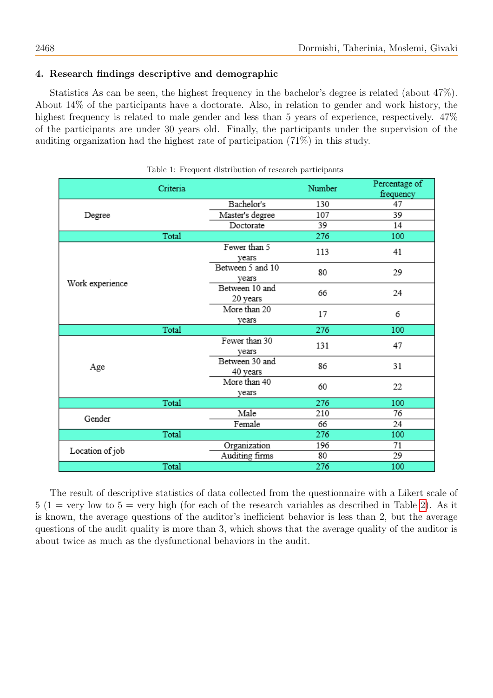# 4. Research findings descriptive and demographic

Statistics As can be seen, the highest frequency in the bachelor's degree is related (about 47%). About 14% of the participants have a doctorate. Also, in relation to gender and work history, the highest frequency is related to male gender and less than 5 years of experience, respectively.  $47\%$ of the participants are under 30 years old. Finally, the participants under the supervision of the auditing organization had the highest rate of participation (71%) in this study.

|                 | Criteria |                            | Number | Percentage of<br>frequency |
|-----------------|----------|----------------------------|--------|----------------------------|
|                 |          | Bachelor's                 | 130    | 47                         |
| Degree          |          | Master's degree            | 107    | 39                         |
|                 |          | Doctorate                  | 39     | 14                         |
|                 | Total    |                            | 276    | 100                        |
|                 |          | Fewer than 5<br>vears      | 113    | 41                         |
| Work experience |          | Between 5 and 10<br>vears  | 80     | 29                         |
|                 |          | Between 10 and<br>20 years | 66     | 24                         |
|                 |          | More than 20<br>years      | 17     | 6                          |
|                 | Total    |                            | 276    | 100                        |
| Age             |          | Fewer than 30<br>vears     | 131    | 47                         |
|                 |          | Between 30 and<br>40 years | 86     | 31                         |
|                 |          | More than 40<br>years      | 60     | 22                         |
|                 | Total    |                            | 276    | 100                        |
| Gender          |          | Male                       | 210    | 76                         |
|                 |          | Female                     | 66     | 24                         |
|                 | Total    |                            | 276    | 100                        |
| Location of job |          | Organization               | 196    | 71                         |
|                 |          | Auditing firms             | 80     | 29                         |
|                 | Total    |                            | 276    | 100                        |

|  |  | Table 1: Frequent distribution of research participants |  |  |
|--|--|---------------------------------------------------------|--|--|
|--|--|---------------------------------------------------------|--|--|

The result of descriptive statistics of data collected from the questionnaire with a Likert scale of  $5(1 = \text{very low to } 5 = \text{very high (for each of the research variables as described in Table 2). As it$  $5(1 = \text{very low to } 5 = \text{very high (for each of the research variables as described in Table 2). As it$  $5(1 = \text{very low to } 5 = \text{very high (for each of the research variables as described in Table 2). As it$ is known, the average questions of the auditor's inefficient behavior is less than 2, but the average questions of the audit quality is more than 3, which shows that the average quality of the auditor is about twice as much as the dysfunctional behaviors in the audit.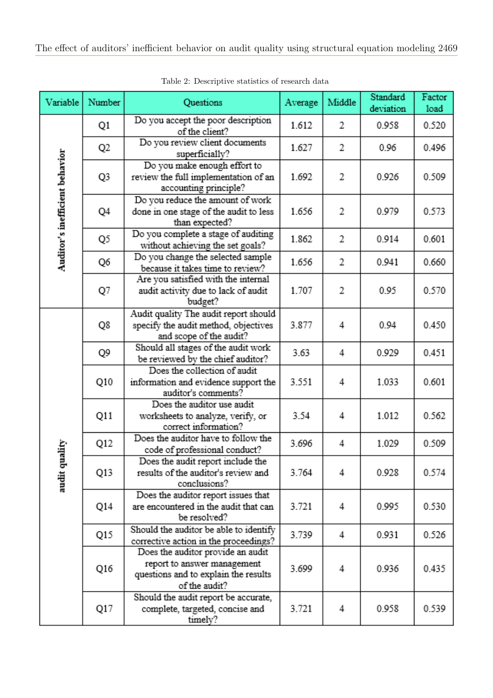<span id="page-8-0"></span>

| Variable          | Number                                                                                                                                                                                                                                                                                                                                                                                                                                                                                                                                                                                                                                                                                                                                                                                                                                                                                                                                                                                                                                                                                                                                                                                                              | <b>Questions</b>                                                                              | Average                                                     | Middle | Standard<br>deviation | Factor<br>load |
|-------------------|---------------------------------------------------------------------------------------------------------------------------------------------------------------------------------------------------------------------------------------------------------------------------------------------------------------------------------------------------------------------------------------------------------------------------------------------------------------------------------------------------------------------------------------------------------------------------------------------------------------------------------------------------------------------------------------------------------------------------------------------------------------------------------------------------------------------------------------------------------------------------------------------------------------------------------------------------------------------------------------------------------------------------------------------------------------------------------------------------------------------------------------------------------------------------------------------------------------------|-----------------------------------------------------------------------------------------------|-------------------------------------------------------------|--------|-----------------------|----------------|
|                   | Q1                                                                                                                                                                                                                                                                                                                                                                                                                                                                                                                                                                                                                                                                                                                                                                                                                                                                                                                                                                                                                                                                                                                                                                                                                  | Do you accept the poor description<br>of the client?                                          | 1.612<br>2<br>0.958                                         |        | 0.520                 |                |
|                   | Q <sub>2</sub>                                                                                                                                                                                                                                                                                                                                                                                                                                                                                                                                                                                                                                                                                                                                                                                                                                                                                                                                                                                                                                                                                                                                                                                                      | Do you review client documents<br>superficially?                                              | 1.627                                                       | 2      | 0.96                  | 0.496          |
|                   | Q3                                                                                                                                                                                                                                                                                                                                                                                                                                                                                                                                                                                                                                                                                                                                                                                                                                                                                                                                                                                                                                                                                                                                                                                                                  | Do you make enough effort to<br>review the full implementation of an<br>accounting principle? | 1.692                                                       | 2      | 0.926                 | 0.509          |
|                   | Q4                                                                                                                                                                                                                                                                                                                                                                                                                                                                                                                                                                                                                                                                                                                                                                                                                                                                                                                                                                                                                                                                                                                                                                                                                  | done in one stage of the audit to less<br>than expected?                                      | 1.656                                                       | 2      | 0.979                 | 0.573          |
|                   | Q5                                                                                                                                                                                                                                                                                                                                                                                                                                                                                                                                                                                                                                                                                                                                                                                                                                                                                                                                                                                                                                                                                                                                                                                                                  | Do you complete a stage of auditing<br>without achieving the set goals?                       | 1.862                                                       | 2      | 0.914                 | 0.601          |
|                   | Q6                                                                                                                                                                                                                                                                                                                                                                                                                                                                                                                                                                                                                                                                                                                                                                                                                                                                                                                                                                                                                                                                                                                                                                                                                  | because it takes time to review?                                                              | 1.656                                                       | 2      | 0.941                 | 0.660          |
|                   | Q7                                                                                                                                                                                                                                                                                                                                                                                                                                                                                                                                                                                                                                                                                                                                                                                                                                                                                                                                                                                                                                                                                                                                                                                                                  | audit activity due to lack of audit<br>budget?                                                | 1.707                                                       | 2      | 0.95                  | 0.570          |
|                   | Q8                                                                                                                                                                                                                                                                                                                                                                                                                                                                                                                                                                                                                                                                                                                                                                                                                                                                                                                                                                                                                                                                                                                                                                                                                  | Audit quality The audit report should<br>specify the audit method, objectives                 | 3.877                                                       | 4      | 0.94                  | 0.450          |
|                   | Auditor's inefficient behavior<br>Do you reduce the amount of work<br>Do you change the selected sample<br>Are you satisfied with the internal<br>and scope of the audit?<br>Should all stages of the audit work<br>Q9<br>3.63<br>4<br>be reviewed by the chief auditor?<br>Does the collection of audit<br>3.551<br>Q10<br>information and evidence support the<br>4<br>auditor's comments?<br>Does the auditor use audit<br>3.54<br>Q11<br>worksheets to analyze, verify, or<br>4<br>correct information?<br>Does the auditor have to follow the<br>Q12<br>3.696<br>4<br>code of professional conduct?<br>Does the audit report include the<br>Q13<br>3.764<br>results of the auditor's review and<br>4<br>conclusions?<br>Does the auditor report issues that<br>Q14<br>are encountered in the audit that can<br>3.721<br>4<br>be resolved?<br>Should the auditor be able to identify<br>Q15<br>3.739<br>4<br>corrective action in the proceedings?<br>Does the auditor provide an audit<br>report to answer management<br>Q16<br>3.699<br>4<br>questions and to explain the results<br>of the audit?<br>Should the audit report be accurate,<br>complete, targeted, concise and<br>3.721<br>Q17<br>4<br>timely? | 0.929                                                                                         | 0.451                                                       |        |                       |                |
| ality<br>audit qu |                                                                                                                                                                                                                                                                                                                                                                                                                                                                                                                                                                                                                                                                                                                                                                                                                                                                                                                                                                                                                                                                                                                                                                                                                     | 1.033                                                                                         | 0.601                                                       |        |                       |                |
|                   |                                                                                                                                                                                                                                                                                                                                                                                                                                                                                                                                                                                                                                                                                                                                                                                                                                                                                                                                                                                                                                                                                                                                                                                                                     |                                                                                               | 1.012<br>1.029<br>0.928<br>0.995<br>0.931<br>0.936<br>0.958 |        | 0.562                 |                |
|                   |                                                                                                                                                                                                                                                                                                                                                                                                                                                                                                                                                                                                                                                                                                                                                                                                                                                                                                                                                                                                                                                                                                                                                                                                                     |                                                                                               |                                                             |        |                       | 0.509          |
|                   |                                                                                                                                                                                                                                                                                                                                                                                                                                                                                                                                                                                                                                                                                                                                                                                                                                                                                                                                                                                                                                                                                                                                                                                                                     |                                                                                               |                                                             |        |                       | 0.574          |
|                   |                                                                                                                                                                                                                                                                                                                                                                                                                                                                                                                                                                                                                                                                                                                                                                                                                                                                                                                                                                                                                                                                                                                                                                                                                     |                                                                                               |                                                             |        |                       | 0.530          |
|                   |                                                                                                                                                                                                                                                                                                                                                                                                                                                                                                                                                                                                                                                                                                                                                                                                                                                                                                                                                                                                                                                                                                                                                                                                                     |                                                                                               |                                                             |        |                       | 0.526          |
|                   |                                                                                                                                                                                                                                                                                                                                                                                                                                                                                                                                                                                                                                                                                                                                                                                                                                                                                                                                                                                                                                                                                                                                                                                                                     |                                                                                               |                                                             |        |                       | 0.435          |
|                   |                                                                                                                                                                                                                                                                                                                                                                                                                                                                                                                                                                                                                                                                                                                                                                                                                                                                                                                                                                                                                                                                                                                                                                                                                     |                                                                                               |                                                             |        |                       | 0.539          |

Table 2: Descriptive statistics of research data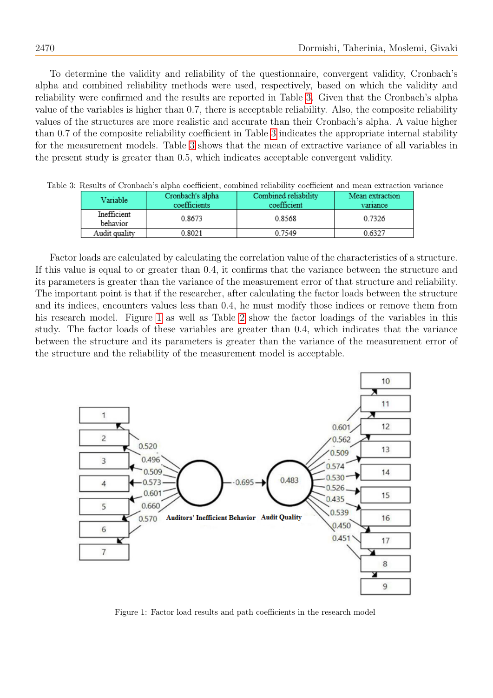To determine the validity and reliability of the questionnaire, convergent validity, Cronbach's alpha and combined reliability methods were used, respectively, based on which the validity and reliability were confirmed and the results are reported in Table [3.](#page-9-0) Given that the Cronbach's alpha value of the variables is higher than 0.7, there is acceptable reliability. Also, the composite reliability values of the structures are more realistic and accurate than their Cronbach's alpha. A value higher than 0.7 of the composite reliability coefficient in Table [3](#page-9-0) indicates the appropriate internal stability for the measurement models. Table [3](#page-9-0) shows that the mean of extractive variance of all variables in the present study is greater than 0.5, which indicates acceptable convergent validity.

| Variable                | Cronbach's alpha<br>coefficients | Combined reliability<br>coefficient | Mean extraction<br>variance |
|-------------------------|----------------------------------|-------------------------------------|-----------------------------|
| Inefficient<br>behavior | 0.8673                           | 0.8568                              | 0.7326                      |
| Audit quality           | 0.8021                           | 0.7549                              | 0.6327                      |

<span id="page-9-0"></span>Table 3: Results of Cronbach's alpha coefficient, combined reliability coefficient and mean extraction variance

Factor loads are calculated by calculating the correlation value of the characteristics of a structure. If this value is equal to or greater than 0.4, it confirms that the variance between the structure and its parameters is greater than the variance of the measurement error of that structure and reliability. The important point is that if the researcher, after calculating the factor loads between the structure and its indices, encounters values less than 0.4, he must modify those indices or remove them from his research model. Figure [1](#page-9-1) as well as Table [2](#page-8-0) show the factor loadings of the variables in this study. The factor loads of these variables are greater than 0.4, which indicates that the variance between the structure and its parameters is greater than the variance of the measurement error of the structure and the reliability of the measurement model is acceptable.



<span id="page-9-1"></span>Figure 1: Factor load results and path coefficients in the research model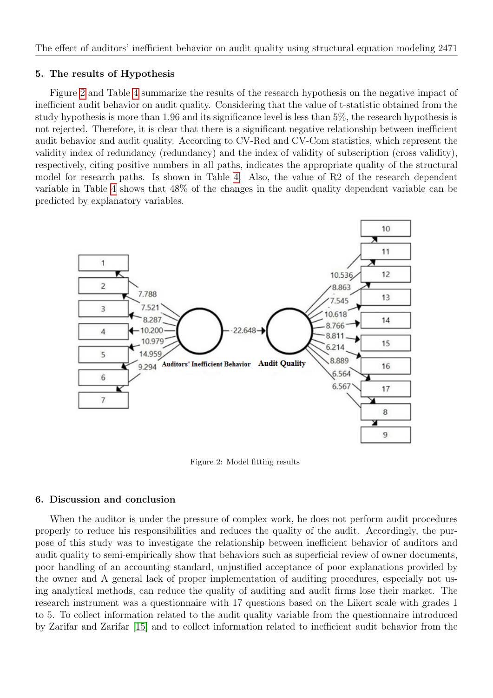# 5. The results of Hypothesis

Figure [2](#page-8-0) and Table [4](#page-11-0) summarize the results of the research hypothesis on the negative impact of inefficient audit behavior on audit quality. Considering that the value of t-statistic obtained from the study hypothesis is more than 1.96 and its significance level is less than 5%, the research hypothesis is not rejected. Therefore, it is clear that there is a significant negative relationship between inefficient audit behavior and audit quality. According to CV-Red and CV-Com statistics, which represent the validity index of redundancy (redundancy) and the index of validity of subscription (cross validity), respectively, citing positive numbers in all paths, indicates the appropriate quality of the structural model for research paths. Is shown in Table [4.](#page-11-0) Also, the value of R2 of the research dependent variable in Table [4](#page-11-0) shows that 48% of the changes in the audit quality dependent variable can be predicted by explanatory variables.



Figure 2: Model fitting results

# 6. Discussion and conclusion

When the auditor is under the pressure of complex work, he does not perform audit procedures properly to reduce his responsibilities and reduces the quality of the audit. Accordingly, the purpose of this study was to investigate the relationship between inefficient behavior of auditors and audit quality to semi-empirically show that behaviors such as superficial review of owner documents, poor handling of an accounting standard, unjustified acceptance of poor explanations provided by the owner and A general lack of proper implementation of auditing procedures, especially not using analytical methods, can reduce the quality of auditing and audit firms lose their market. The research instrument was a questionnaire with 17 questions based on the Likert scale with grades 1 to 5. To collect information related to the audit quality variable from the questionnaire introduced by Zarifar and Zarifar [\[15\]](#page-13-2) and to collect information related to inefficient audit behavior from the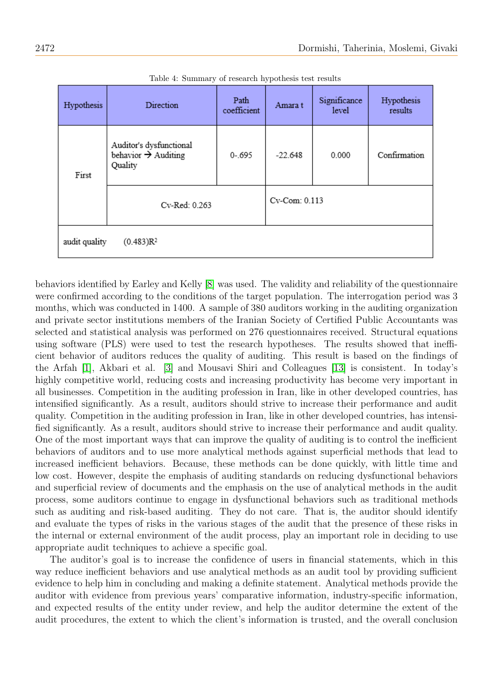<span id="page-11-0"></span>

| Hypothesis                             | Direction                                                             | Path<br>coefficient | Amara t       | Significance<br>level | Hypothesis<br>results |
|----------------------------------------|-----------------------------------------------------------------------|---------------------|---------------|-----------------------|-----------------------|
| First                                  | Auditor's dysfunctional<br>behavior $\rightarrow$ Auditing<br>Quality | $0 - 695$           | $-22.648$     | 0.000                 | Confirmation          |
|                                        | Cv-Red: 0.263                                                         |                     | Cv-Com: 0.113 |                       |                       |
| audit quality<br>(0.483)R <sup>2</sup> |                                                                       |                     |               |                       |                       |

Table 4: Summary of research hypothesis test results

behaviors identified by Earley and Kelly [\[8\]](#page-12-9) was used. The validity and reliability of the questionnaire were confirmed according to the conditions of the target population. The interrogation period was 3 months, which was conducted in 1400. A sample of 380 auditors working in the auditing organization and private sector institutions members of the Iranian Society of Certified Public Accountants was selected and statistical analysis was performed on 276 questionnaires received. Structural equations using software (PLS) were used to test the research hypotheses. The results showed that inefficient behavior of auditors reduces the quality of auditing. This result is based on the findings of the Arfah [\[1\]](#page-12-10), Akbari et al. [\[3\]](#page-12-8) and Mousavi Shiri and Colleagues [\[13\]](#page-13-3) is consistent. In today's highly competitive world, reducing costs and increasing productivity has become very important in all businesses. Competition in the auditing profession in Iran, like in other developed countries, has intensified significantly. As a result, auditors should strive to increase their performance and audit quality. Competition in the auditing profession in Iran, like in other developed countries, has intensified significantly. As a result, auditors should strive to increase their performance and audit quality. One of the most important ways that can improve the quality of auditing is to control the inefficient behaviors of auditors and to use more analytical methods against superficial methods that lead to increased inefficient behaviors. Because, these methods can be done quickly, with little time and low cost. However, despite the emphasis of auditing standards on reducing dysfunctional behaviors and superficial review of documents and the emphasis on the use of analytical methods in the audit process, some auditors continue to engage in dysfunctional behaviors such as traditional methods such as auditing and risk-based auditing. They do not care. That is, the auditor should identify and evaluate the types of risks in the various stages of the audit that the presence of these risks in the internal or external environment of the audit process, play an important role in deciding to use appropriate audit techniques to achieve a specific goal.

The auditor's goal is to increase the confidence of users in financial statements, which in this way reduce inefficient behaviors and use analytical methods as an audit tool by providing sufficient evidence to help him in concluding and making a definite statement. Analytical methods provide the auditor with evidence from previous years' comparative information, industry-specific information, and expected results of the entity under review, and help the auditor determine the extent of the audit procedures, the extent to which the client's information is trusted, and the overall conclusion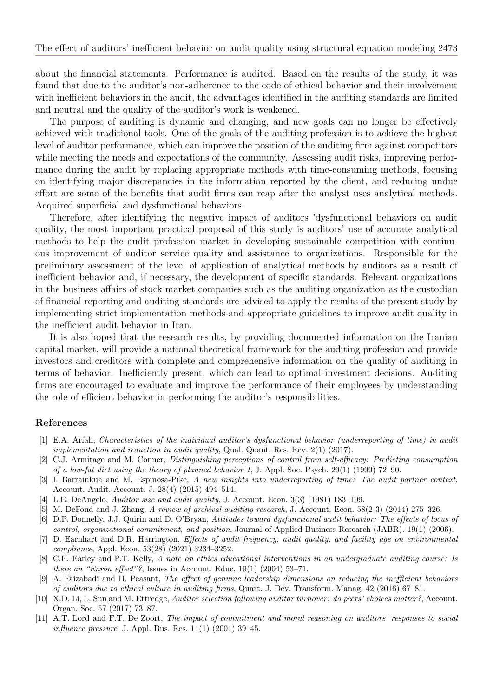about the financial statements. Performance is audited. Based on the results of the study, it was found that due to the auditor's non-adherence to the code of ethical behavior and their involvement with inefficient behaviors in the audit, the advantages identified in the auditing standards are limited and neutral and the quality of the auditor's work is weakened.

The purpose of auditing is dynamic and changing, and new goals can no longer be effectively achieved with traditional tools. One of the goals of the auditing profession is to achieve the highest level of auditor performance, which can improve the position of the auditing firm against competitors while meeting the needs and expectations of the community. Assessing audit risks, improving performance during the audit by replacing appropriate methods with time-consuming methods, focusing on identifying major discrepancies in the information reported by the client, and reducing undue effort are some of the benefits that audit firms can reap after the analyst uses analytical methods. Acquired superficial and dysfunctional behaviors.

Therefore, after identifying the negative impact of auditors 'dysfunctional behaviors on audit quality, the most important practical proposal of this study is auditors' use of accurate analytical methods to help the audit profession market in developing sustainable competition with continuous improvement of auditor service quality and assistance to organizations. Responsible for the preliminary assessment of the level of application of analytical methods by auditors as a result of inefficient behavior and, if necessary, the development of specific standards. Relevant organizations in the business affairs of stock market companies such as the auditing organization as the custodian of financial reporting and auditing standards are advised to apply the results of the present study by implementing strict implementation methods and appropriate guidelines to improve audit quality in the inefficient audit behavior in Iran.

It is also hoped that the research results, by providing documented information on the Iranian capital market, will provide a national theoretical framework for the auditing profession and provide investors and creditors with complete and comprehensive information on the quality of auditing in terms of behavior. Inefficiently present, which can lead to optimal investment decisions. Auditing firms are encouraged to evaluate and improve the performance of their employees by understanding the role of efficient behavior in performing the auditor's responsibilities.

#### References

- <span id="page-12-10"></span>[1] E.A. Arfah, Characteristics of the individual auditor's dysfunctional behavior (underreporting of time) in audit implementation and reduction in audit quality, Qual. Quant. Res. Rev. 2(1) (2017).
- <span id="page-12-3"></span>[2] C.J. Armitage and M. Conner, Distinguishing perceptions of control from self-efficacy: Predicting consumption of a low-fat diet using the theory of planned behavior 1, J. Appl. Soc. Psych. 29(1) (1999) 72–90.
- <span id="page-12-8"></span>[3] I. Barrainkua and M. Espinosa-Pike, A new insights into underreporting of time: The audit partner context, Account. Audit. Account. J. 28(4) (2015) 494–514.
- <span id="page-12-4"></span>[4] L.E. DeAngelo, Auditor size and audit quality, J. Account. Econ. 3(3) (1981) 183–199.
- <span id="page-12-6"></span>[5] M. DeFond and J. Zhang, A review of archival auditing research, J. Account. Econ. 58(2-3) (2014) 275–326.
- <span id="page-12-2"></span>[6] D.P. Donnelly, J.J. Quirin and D. O'Bryan, Attitudes toward dysfunctional audit behavior: The effects of locus of control, organizational commitment, and position, Journal of Applied Business Research (JABR). 19(1) (2006).
- <span id="page-12-0"></span>[7] D. Earnhart and D.R. Harrington, Effects of audit frequency, audit quality, and facility age on environmental compliance, Appl. Econ. 53(28) (2021) 3234–3252.
- <span id="page-12-9"></span>[8] C.E. Earley and P.T. Kelly, A note on ethics educational interventions in an undergraduate auditing course: Is there an "Enron effect"?, Issues in Account. Educ. 19(1) (2004) 53-71.
- <span id="page-12-7"></span>[9] A. Faizabadi and H. Peasant, The effect of genuine leadership dimensions on reducing the inefficient behaviors of auditors due to ethical culture in auditing firms, Quart. J. Dev. Transform. Manag. 42 (2016) 67–81.
- <span id="page-12-5"></span>[10] X.D. Li, L. Sun and M. Ettredge, Auditor selection following auditor turnover: do peers' choices matter?, Account. Organ. Soc. 57 (2017) 73–87.
- <span id="page-12-1"></span>[11] A.T. Lord and F.T. De Zoort, The impact of commitment and moral reasoning on auditors' responses to social influence pressure, J. Appl. Bus. Res. 11(1) (2001) 39–45.